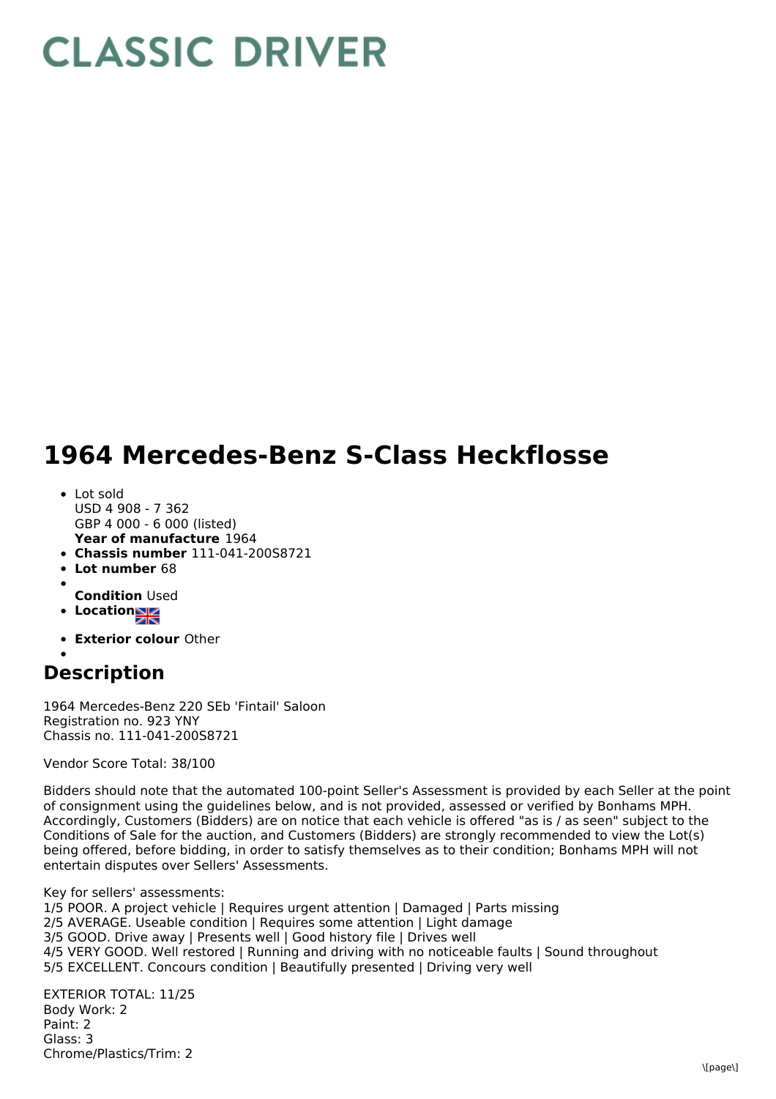## **CLASSIC DRIVER**

## **1964 Mercedes-Benz S-Class Heckflosse**

- **Year of manufacture** 1964 • Lot sold USD 4 908 - 7 362 GBP 4 000 - 6 000 (listed)
- **Chassis number** 111-041-200S8721
- **Lot number** 68
- **Condition** Used
- **•** Location
- 
- **Exterior colour** Other

## **Description**

1964 Mercedes-Benz 220 SEb 'Fintail' Saloon Registration no. 923 YNY Chassis no. 111-041-200S8721

Vendor Score Total: 38/100

Bidders should note that the automated 100-point Seller's Assessment is provided by each Seller at the point of consignment using the guidelines below, and is not provided, assessed or verified by Bonhams MPH. Accordingly, Customers (Bidders) are on notice that each vehicle is offered "as is / as seen" subject to the Conditions of Sale for the auction, and Customers (Bidders) are strongly recommended to view the Lot(s) being offered, before bidding, in order to satisfy themselves as to their condition; Bonhams MPH will not entertain disputes over Sellers' Assessments.

Key for sellers' assessments: 1/5 POOR. A project vehicle | Requires urgent attention | Damaged | Parts missing 2/5 AVERAGE. Useable condition | Requires some attention | Light damage 3/5 GOOD. Drive away | Presents well | Good history file | Drives well 4/5 VERY GOOD. Well restored | Running and driving with no noticeable faults | Sound throughout 5/5 EXCELLENT. Concours condition | Beautifully presented | Driving very well

EXTERIOR TOTAL: 11/25 Body Work: 2 Paint: 2 Glass: 3 Chrome/Plastics/Trim: 2